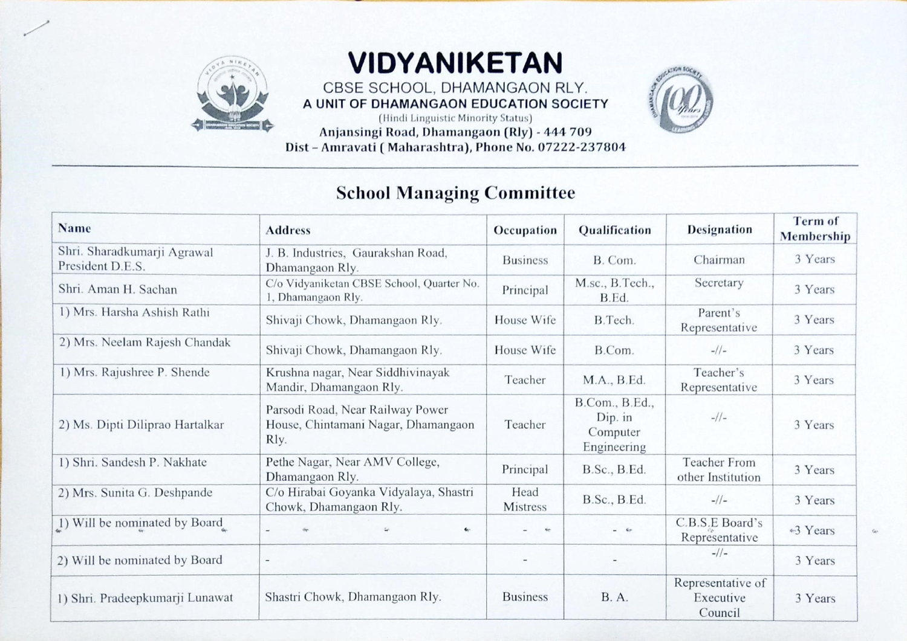

## VIDYANIKETAN

CBSE SCHOOL, DHAMANGAON RLY. A UNIT OF DHAMANGAON EDUCATION SOCIETY

(Hindi Linguistic Minority Status) Anjansingi Road, Dhamangaon (Rly) - 444 709 Dist - Amravati ( Maharashtra), Phone No. 07222-237804

## School Managing Committee

| <b>Name</b>                                     | <b>Address</b>                                                                  | Occupation              | Qualification                                        | <b>Designation</b>                        | Term of<br>Membership |
|-------------------------------------------------|---------------------------------------------------------------------------------|-------------------------|------------------------------------------------------|-------------------------------------------|-----------------------|
| Shri. Sharadkumarji Agrawal<br>President D.E.S. | J. B. Industries, Gaurakshan Road,<br>Dhamangaon Rly.                           | <b>Business</b>         | B. Com.                                              | Chairman                                  | 3 Years               |
| Shri. Aman H. Sachan                            | C/o Vidyaniketan CBSE School, Quarter No.<br>1, Dhamangaon Rly.                 | Principal               | M.sc., B.Tech.,<br>B.Ed.                             | Secretary                                 | 3 Years               |
| 1) Mrs. Harsha Ashish Rathi                     | Shivaji Chowk, Dhamangaon Rly.                                                  | House Wife              | B.Tech.                                              | Parent's<br>Representative                | 3 Years               |
| 2) Mrs. Neelam Rajesh Chandak                   | Shivaji Chowk, Dhamangaon Rly.                                                  | House Wife              | B.Com.                                               | $-1/1-$                                   | 3 Years               |
| 1) Mrs. Rajushree P. Shende                     | Krushna nagar, Near Siddhivinayak<br>Mandir, Dhamangaon Rly.                    | Teacher                 | M.A., B.Ed.                                          | Teacher's<br>Representative               | 3 Years               |
| 2) Ms. Dipti Diliprao Hartalkar                 | Parsodi Road, Near Railway Power<br>House, Chintamani Nagar, Dhamangaon<br>Rly. | Teacher                 | B.Com., B.Ed.,<br>Dip. in<br>Computer<br>Engineering | $-1/1-$                                   | 3 Years               |
| 1) Shri. Sandesh P. Nakhate                     | Pethe Nagar, Near AMV College,<br>Dhamangaon Rly.                               | Principal               | B.Sc., B.Ed.                                         | <b>Teacher From</b><br>other Institution  | 3 Years               |
| 2) Mrs. Sunita G. Deshpande                     | C/o Hirabai Goyanka Vidyalaya, Shastri<br>Chowk, Dhamangaon Rly.                | Head<br><b>Mistress</b> | B.Sc., B.Ed.                                         | $-1/1-$                                   | 3 Years               |
| 1) Will be nominated by Board                   | $\mathcal{L}_{\mathcal{C}}$<br>$\overline{\phantom{a}}$                         | Sec.                    | $-6$                                                 | C.B.S.E Board's<br>Representative         | ←3 Years              |
| 2) Will be nominated by Board                   | $\overline{\phantom{a}}$                                                        |                         |                                                      | $-1/1-$                                   | 3 Years               |
| 1) Shri. Pradeepkumarji Lunawat                 | Shastri Chowk, Dhamangaon Rly.                                                  | <b>Business</b>         | <b>B.A.</b>                                          | Representative of<br>Executive<br>Council | 3 Years               |